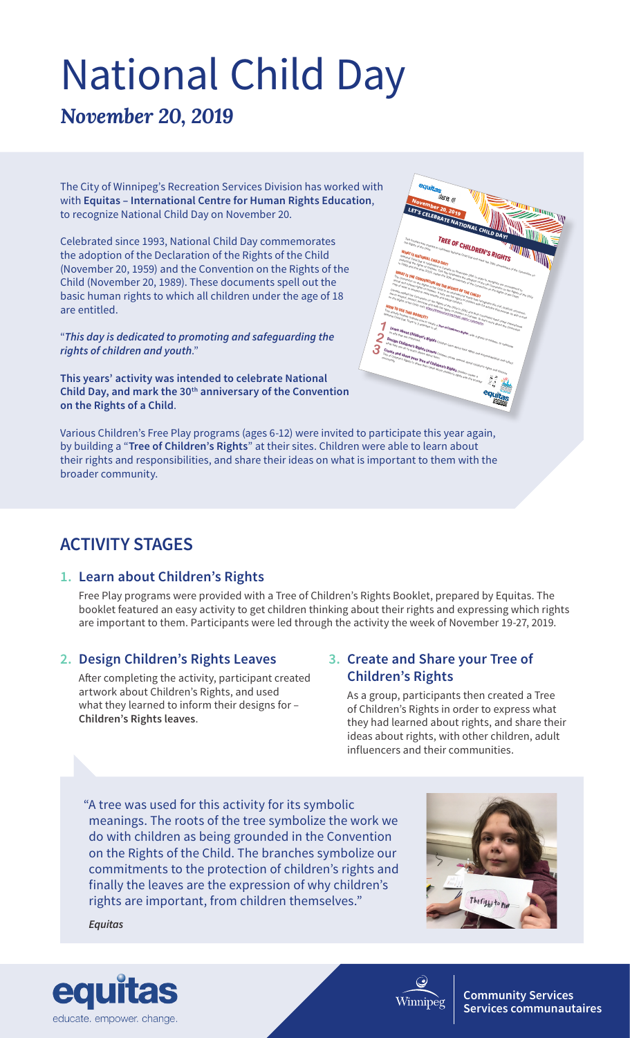# National Child Day

*November 20, 2019*

The City of Winnipeg's Recreation Services Division has worked with with **Equitas – International Centre for Human Rights Education**, to recognize National Child Day on November 20.

Celebrated since 1993, National Child Day commemorates the adoption of the Declaration of the Rights of the Child (November 20, 1959) and the Convention on the Rights of the Child (November 20, 1989). These documents spell out the basic human rights to which all children under the age of 18 are entitled.

"*This day is dedicated to promoting and safeguarding the rights of children and youth*."

**This years' activity was intended to celebrate National Child Day, and mark the 30th anniversary of the Convention on the Rights of a Child**.

Various Children's Free Play programs (ages 6-12) were invited to participate this year again, by building a "**Tree of Children's Rights**" at their sites. Children were able to learn about their rights and responsibilities, and share their ideas on what is important to them with the broader community.

### **ACTIVITY STAGES**

#### **1. Learn about Children's Rights**

Free Play programs were provided with a Tree of Children's Rights Booklet, prepared by Equitas. The booklet featured an easy activity to get children thinking about their rights and expressing which rights are important to them. Participants were led through the activity the week of November 19-27, 2019.

#### **2. Design Children's Rights Leaves**

After completing the activity, participant created artwork about Children's Rights, and used what they learned to inform their designs for – **Children's Rights leaves**.

#### **3. Create and Share your Tree of Children's Rights**

As a group, participants then created a Tree of Children's Rights in order to express what they had learned about rights, and share their ideas about rights, with other children, adult influencers and their communities.

"A tree was used for this activity for its symbolic meanings. The roots of the tree symbolize the work we do with children as being grounded in the Convention on the Rights of the Child. The branches symbolize our commitments to the protection of children's rights and finally the leaves are the expression of why children's rights are important, from children themselves."

*Equitas*







Winnipe

**Community Services Services communautaires**